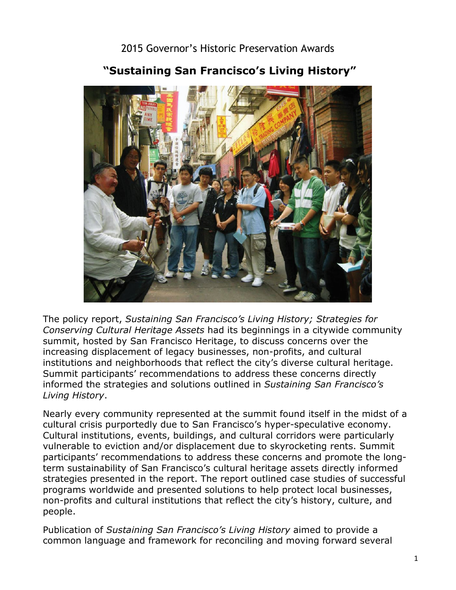2015 Governor's Historic Preservation Awards



## **"Sustaining San Francisco's Living History"**

 summit, hosted by San Francisco Heritage, to discuss concerns over the The policy report, *Sustaining San Francisco's Living History; Strategies for Conserving Cultural Heritage Assets* had its beginnings in a citywide community increasing displacement of legacy businesses, non-profits, and cultural institutions and neighborhoods that reflect the city's diverse cultural heritage. Summit participants' recommendations to address these concerns directly informed the strategies and solutions outlined in *Sustaining San Francisco's Living History*.

Nearly every community represented at the summit found itself in the midst of a cultural crisis purportedly due to San Francisco's hyper-speculative economy. Cultural institutions, events, buildings, and cultural corridors were particularly vulnerable to eviction and/or displacement due to skyrocketing rents. Summit participants' recommendations to address these concerns and promote the longterm sustainability of San Francisco's cultural heritage assets directly informed strategies presented in the report. The report outlined case studies of successful programs worldwide and presented solutions to help protect local businesses, non-profits and cultural institutions that reflect the city's history, culture, and people.

 Publication of *Sustaining San Francisco's Living History* aimed to provide a common language and framework for reconciling and moving forward several